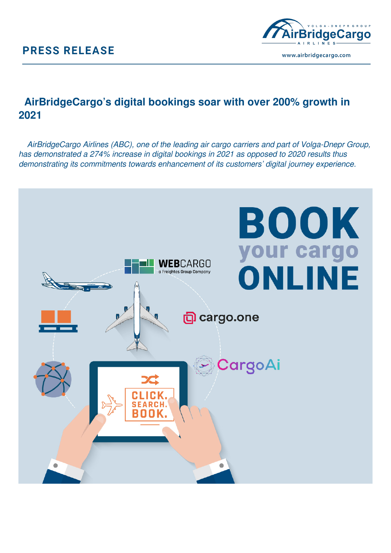## **PRESS RELEASE**



## **AirBridgeCargo's digital bookings soar with over 200% growth in 2021**

 *AirBridgeCargo Airlines (ABC), one of the leading air cargo carriers and part of Volga-Dnepr Group, has demonstrated a 274% increase in digital bookings in 2021 as opposed to 2020 results thus demonstrating its commitments towards enhancement of its customers' digital journey experience.*